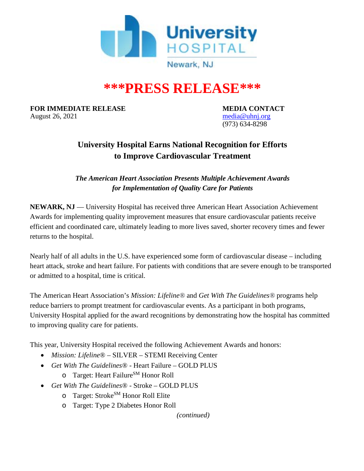

# **\*\*\*PRESS RELEASE\*\*\***

**FOR IMMEDIATE RELEASE MEDIA CONTACT** August 26, 2021 **[media@uhnj.org](mailto:media@uhnj.org)** media@uhnj.org

(973) 634-8298

## **University Hospital Earns National Recognition for Efforts to Improve Cardiovascular Treatment**

*The American Heart Association Presents Multiple Achievement Awards for Implementation of Quality Care for Patients*

**NEWARK, NJ** — University Hospital has received three American Heart Association Achievement Awards for implementing quality improvement measures that ensure cardiovascular patients receive efficient and coordinated care, ultimately leading to more lives saved, shorter recovery times and fewer returns to the hospital.

Nearly half of all adults in the U.S. have experienced some form of cardiovascular disease – including heart attack, stroke and heart failure. For patients with conditions that are severe enough to be transported or admitted to a hospital, time is critical.

The American Heart Association's *Mission: Lifeline®* and *Get With The Guidelines®* programs help reduce barriers to prompt treatment for cardiovascular events. As a participant in both programs, University Hospital applied for the award recognitions by demonstrating how the hospital has committed to improving quality care for patients.

This year, University Hospital received the following Achievement Awards and honors:

- *Mission: Lifeline*<sup>®</sup> SILVER STEMI Receiving Center
- *Get With The Guidelines*® Heart Failure GOLD PLUS
	- o Target: Heart Failure<sup>SM</sup> Honor Roll
- *Get With The Guidelines*® Stroke GOLD PLUS
	- o Target: Stroke<sup>SM</sup> Honor Roll Elite
	- o Target: Type 2 Diabetes Honor Roll

*(continued)*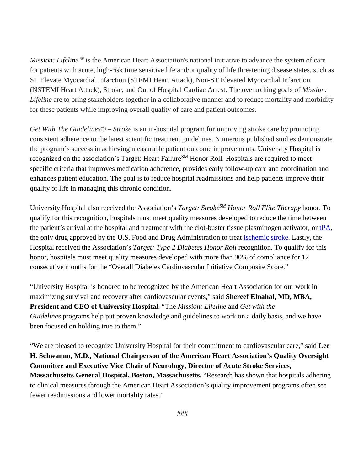*Mission: Lifeline* <sup>®</sup> is the American Heart Association's national initiative to advance the system of care for patients with acute, high-risk time sensitive life and/or quality of life threatening disease states, such as ST Elevate Myocardial Infarction (STEMI Heart Attack), Non-ST Elevated Myocardial Infarction (NSTEMI Heart Attack), Stroke, and Out of Hospital Cardiac Arrest. The overarching goals of *Mission: Lifeline* are to bring stakeholders together in a collaborative manner and to reduce mortality and morbidity for these patients while improving overall quality of care and patient outcomes.

*Get With The Guidelines® – Stroke* is an in-hospital program for improving stroke care by promoting consistent adherence to the latest scientific treatment guidelines. Numerous published studies demonstrate the program's success in achieving measurable patient outcome improvements. University Hospital is recognized on the association's Target: Heart Failure<sup>SM</sup> Honor Roll. Hospitals are required to meet specific criteria that improves medication adherence, provides early follow-up care and coordination and enhances patient education. The goal is to reduce hospital readmissions and help patients improve their quality of life in managing this chronic condition.

University Hospital also received the Association's *Target: StrokeSM Honor Roll Elite Therapy* honor. To qualify for this recognition, hospitals must meet quality measures developed to reduce the time between the patient's arrival at the hospital and treatment with the clot-buster tissue plasminogen activator, or [tPA,](http://www.strokeassociation.org/STROKEORG/AboutStroke/Treatment/Stroke-Treatments_UCM_310892_Article.jsp) the only drug approved by the U.S. Food and Drug Administration to treat [ischemic stroke.](http://www.strokeassociation.org/STROKEORG/AboutStroke/TypesofStroke/Types-of-Stroke_UCM_308531_SubHomePage.jsp) Lastly, the Hospital received the Association's *Target: Type 2 Diabetes Honor Roll* recognition. To qualify for this honor, hospitals must meet quality measures developed with more than 90% of compliance for 12 consecutive months for the "Overall Diabetes Cardiovascular Initiative Composite Score."

"University Hospital is honored to be recognized by the American Heart Association for our work in maximizing survival and recovery after cardiovascular events," said **Shereef Elnahal, MD, MBA, President and CEO of University Hospital**. "The *Mission: Lifeline* and *Get with the Guidelines* programs help put proven knowledge and guidelines to work on a daily basis, and we have been focused on holding true to them."

"We are pleased to recognize University Hospital for their commitment to cardiovascular care," said **Lee H. Schwamm, M.D., National Chairperson of the American Heart Association's Quality Oversight Committee and Executive Vice Chair of Neurology, Director of Acute Stroke Services, Massachusetts General Hospital, Boston, Massachusetts.** "Research has shown that hospitals adhering to clinical measures through the American Heart Association's quality improvement programs often see fewer readmissions and lower mortality rates."